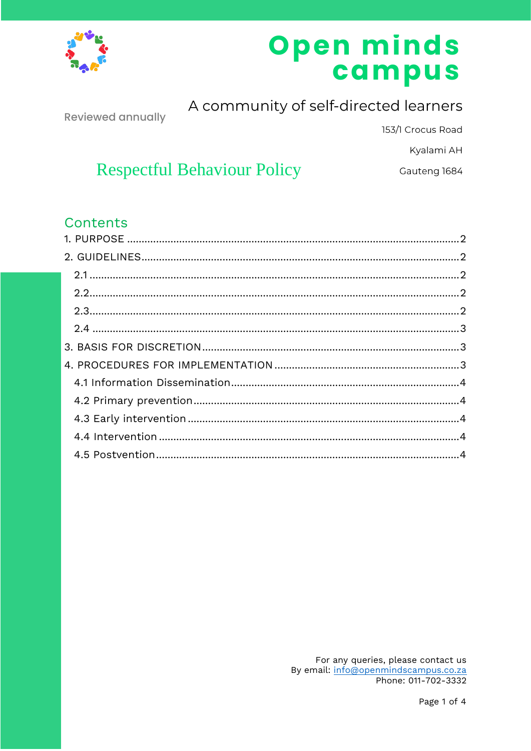

# Open minds campus

**Reviewed annually** 

A community of self-directed learners

153/1 Crocus Road

Kyalami AH

Gauteng 1684

# **Respectful Behaviour Policy**

## Contents

For any queries, please contact us By email: info@openmindscampus.co.za Phone: 011-702-3332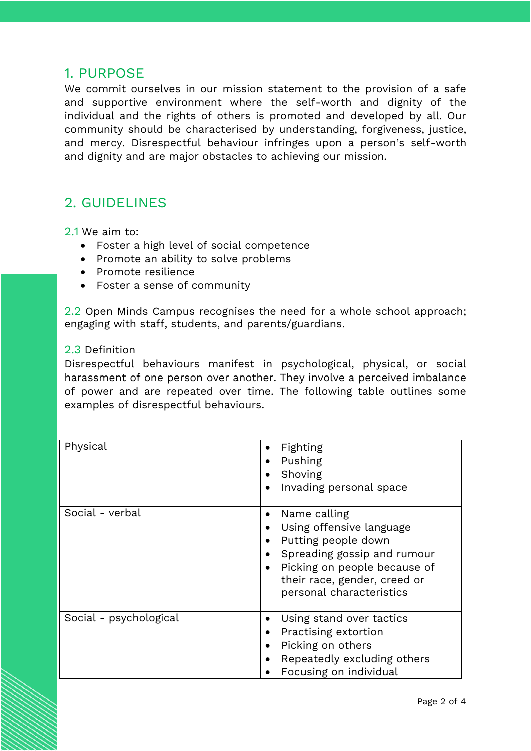### <span id="page-1-0"></span>1. PURPOSE

We commit ourselves in our mission statement to the provision of a safe and supportive environment where the self-worth and dignity of the individual and the rights of others is promoted and developed by all. Our community should be characterised by understanding, forgiveness, justice, and mercy. Disrespectful behaviour infringes upon a person's self-worth and dignity and are major obstacles to achieving our mission.

### <span id="page-1-1"></span>2. GUIDELINES

<span id="page-1-2"></span>2.1 We aim to:

- Foster a high level of social competence
- Promote an ability to solve problems
- Promote resilience
- Foster a sense of community

<span id="page-1-3"></span>2.2 Open Minds Campus recognises the need for a whole school approach; engaging with staff, students, and parents/guardians.

#### <span id="page-1-4"></span>2.3 Definition

Disrespectful behaviours manifest in psychological, physical, or social harassment of one person over another. They involve a perceived imbalance of power and are repeated over time. The following table outlines some examples of disrespectful behaviours.

| Physical               | Fighting<br>Pushing<br>Shoving<br>Invading personal space<br>$\bullet$                                                                                                                                                                              |
|------------------------|-----------------------------------------------------------------------------------------------------------------------------------------------------------------------------------------------------------------------------------------------------|
| Social - verbal        | Name calling<br>$\bullet$<br>Using offensive language<br>٠<br>Putting people down<br>$\bullet$<br>Spreading gossip and rumour<br>$\bullet$<br>Picking on people because of<br>$\bullet$<br>their race, gender, creed or<br>personal characteristics |
| Social - psychological | Using stand over tactics<br>$\bullet$<br>Practising extortion<br>Picking on others<br>$\bullet$<br>Repeatedly excluding others<br>$\bullet$<br>Focusing on individual                                                                               |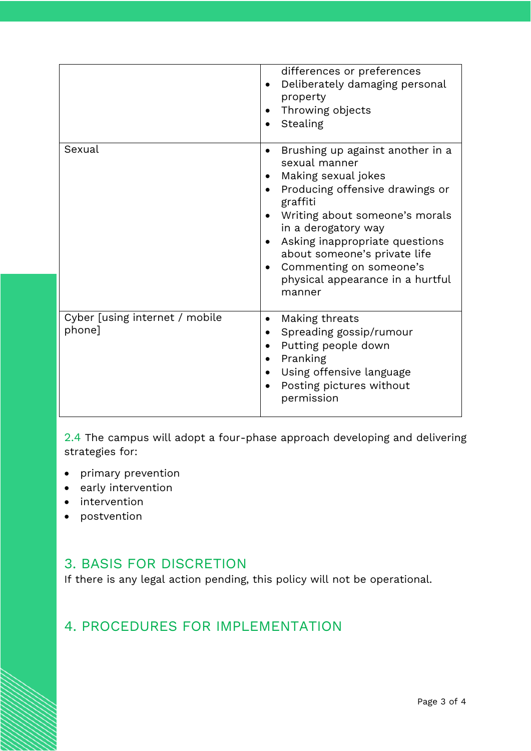|                                          | differences or preferences<br>Deliberately damaging personal<br>$\bullet$<br>property<br>Throwing objects<br>Stealing                                                                                                                                                                                                                                              |
|------------------------------------------|--------------------------------------------------------------------------------------------------------------------------------------------------------------------------------------------------------------------------------------------------------------------------------------------------------------------------------------------------------------------|
| Sexual                                   | Brushing up against another in a<br>$\bullet$<br>sexual manner<br>Making sexual jokes<br>$\bullet$<br>Producing offensive drawings or<br>graffiti<br>Writing about someone's morals<br>in a derogatory way<br>Asking inappropriate questions<br>about someone's private life<br>Commenting on someone's<br>$\bullet$<br>physical appearance in a hurtful<br>manner |
| Cyber [using internet / mobile<br>phone] | Making threats<br>$\bullet$<br>Spreading gossip/rumour<br>Putting people down<br>Pranking<br>Using offensive language<br>Posting pictures without<br>$\bullet$<br>permission                                                                                                                                                                                       |

<span id="page-2-0"></span>2.4 The campus will adopt a four-phase approach developing and delivering strategies for:

- primary prevention
- early intervention
- intervention
- postvention

### <span id="page-2-1"></span>3. BASIS FOR DISCRETION

If there is any legal action pending, this policy will not be operational.

# <span id="page-2-2"></span>4. PROCEDURES FOR IMPLEMENTATION